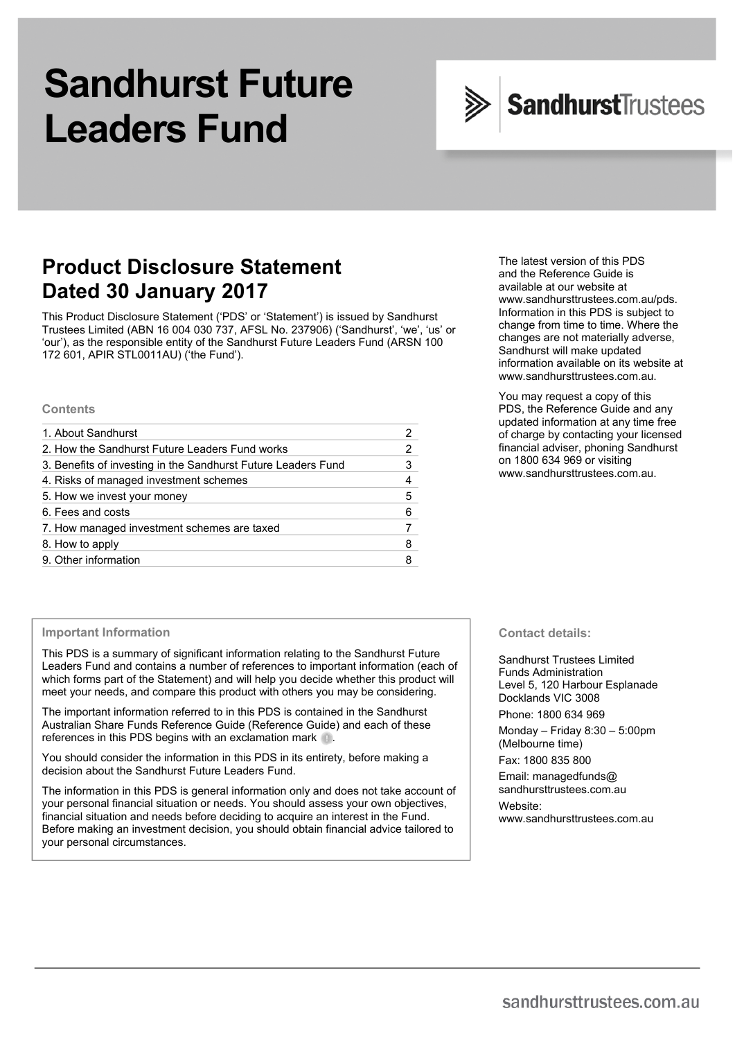# **Sandhurst Future Leaders Fund**



## **Product Disclosure Statement Dated 30 January 2017**

This Product Disclosure Statement ('PDS' or 'Statement') is issued by Sandhurst Trustees Limited (ABN 16 004 030 737, AFSL No. 237906) ('Sandhurst', 'we', 'us' or 'our'), as the responsible entity of the Sandhurst Future Leaders Fund (ARSN 100 172 601, APIR STL0011AU) ('the Fund').

#### **Contents**

| 1. About Sandhurst                                            |   |
|---------------------------------------------------------------|---|
| 2. How the Sandhurst Future Leaders Fund works                |   |
| 3. Benefits of investing in the Sandhurst Future Leaders Fund | 3 |
| 4. Risks of managed investment schemes                        |   |
| 5. How we invest your money                                   | 5 |
| 6. Fees and costs                                             | 6 |
| 7. How managed investment schemes are taxed                   |   |
| 8. How to apply                                               | 8 |
| 9. Other information                                          |   |

#### **Important Information**

This PDS is a summary of significant information relating to the Sandhurst Future Leaders Fund and contains a number of references to important information (each of which forms part of the Statement) and will help you decide whether this product will meet your needs, and compare this product with others you may be considering.

The important information referred to in this PDS is contained in the Sandhurst Australian Share Funds Reference Guide (Reference Guide) and each of these references in this PDS begins with an exclamation mark **...** 

You should consider the information in this PDS in its entirety, before making a decision about the Sandhurst Future Leaders Fund.

The information in this PDS is general information only and does not take account of your personal financial situation or needs. You should assess your own objectives, financial situation and needs before deciding to acquire an interest in the Fund. Before making an investment decision, you should obtain financial advice tailored to your personal circumstances.

The latest version of this PDS and the Reference Guide is available at our website at www.sandhursttrustees.com.au/pds. Information in this PDS is subject to change from time to time. Where the changes are not materially adverse, Sandhurst will make updated information available on its website at www.sandhursttrustees.com.au.

You may request a copy of this PDS, the Reference Guide and any updated information at any time free of charge by contacting your licensed financial adviser, phoning Sandhurst on 1800 634 969 or visiting www.sandhursttrustees.com.au.

**Contact details:** 

Sandhurst Trustees Limited Funds Administration Level 5, 120 Harbour Esplanade Docklands VIC 3008

Phone: 1800 634 969

Monday – Friday 8:30 – 5:00pm (Melbourne time)

Fax: 1800 835 800

Email: managedfunds@ sandhursttrustees.com.au

Website:

www.sandhursttrustees.com.au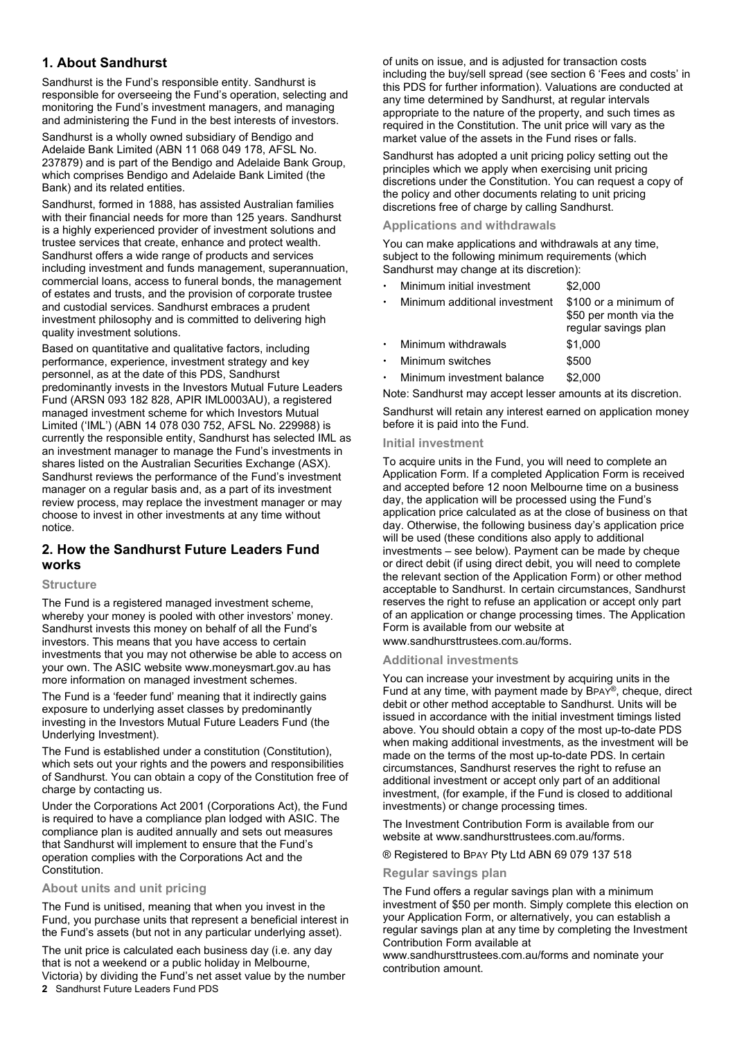## **1. About Sandhurst**

Sandhurst is the Fund's responsible entity. Sandhurst is responsible for overseeing the Fund's operation, selecting and monitoring the Fund's investment managers, and managing and administering the Fund in the best interests of investors.

Sandhurst is a wholly owned subsidiary of Bendigo and Adelaide Bank Limited (ABN 11 068 049 178, AFSL No. 237879) and is part of the Bendigo and Adelaide Bank Group, which comprises Bendigo and Adelaide Bank Limited (the Bank) and its related entities.

Sandhurst, formed in 1888, has assisted Australian families with their financial needs for more than 125 years. Sandhurst is a highly experienced provider of investment solutions and trustee services that create, enhance and protect wealth. Sandhurst offers a wide range of products and services including investment and funds management, superannuation, commercial loans, access to funeral bonds, the management of estates and trusts, and the provision of corporate trustee and custodial services. Sandhurst embraces a prudent investment philosophy and is committed to delivering high quality investment solutions.

Based on quantitative and qualitative factors, including performance, experience, investment strategy and key personnel, as at the date of this PDS, Sandhurst predominantly invests in the Investors Mutual Future Leaders Fund (ARSN 093 182 828, APIR IML0003AU), a registered managed investment scheme for which Investors Mutual Limited ('IML') (ABN 14 078 030 752, AFSL No. 229988) is currently the responsible entity, Sandhurst has selected IML as an investment manager to manage the Fund's investments in shares listed on the Australian Securities Exchange (ASX). Sandhurst reviews the performance of the Fund's investment manager on a regular basis and, as a part of its investment review process, may replace the investment manager or may choose to invest in other investments at any time without notice.

## **2. How the Sandhurst Future Leaders Fund works**

## **Structure**

The Fund is a registered managed investment scheme, whereby your money is pooled with other investors' money. Sandhurst invests this money on behalf of all the Fund's investors. This means that you have access to certain investments that you may not otherwise be able to access on your own. The ASIC website www.moneysmart.gov.au has more information on managed investment schemes.

The Fund is a 'feeder fund' meaning that it indirectly gains exposure to underlying asset classes by predominantly investing in the Investors Mutual Future Leaders Fund (the Underlying Investment).

The Fund is established under a constitution (Constitution), which sets out your rights and the powers and responsibilities of Sandhurst. You can obtain a copy of the Constitution free of charge by contacting us.

Under the Corporations Act 2001 (Corporations Act), the Fund is required to have a compliance plan lodged with ASIC. The compliance plan is audited annually and sets out measures that Sandhurst will implement to ensure that the Fund's operation complies with the Corporations Act and the Constitution.

## **About units and unit pricing**

The Fund is unitised, meaning that when you invest in the Fund, you purchase units that represent a beneficial interest in the Fund's assets (but not in any particular underlying asset).

**2** Sandhurst Future Leaders Fund PDS The unit price is calculated each business day (i.e. any day that is not a weekend or a public holiday in Melbourne, Victoria) by dividing the Fund's net asset value by the number of units on issue, and is adjusted for transaction costs including the buy/sell spread (see section 6 'Fees and costs' in this PDS for further information). Valuations are conducted at any time determined by Sandhurst, at regular intervals appropriate to the nature of the property, and such times as required in the Constitution. The unit price will vary as the market value of the assets in the Fund rises or falls.

Sandhurst has adopted a unit pricing policy setting out the principles which we apply when exercising unit pricing discretions under the Constitution. You can request a copy of the policy and other documents relating to unit pricing discretions free of charge by calling Sandhurst.

### **Applications and withdrawals**

You can make applications and withdrawals at any time, subject to the following minimum requirements (which Sandhurst may change at its discretion):

| Minimum initial investment    | \$2,000                                                                 |
|-------------------------------|-------------------------------------------------------------------------|
| Minimum additional investment | \$100 or a minimum of<br>\$50 per month via the<br>regular savings plan |
| Minimum withdrawals           | \$1,000                                                                 |
| Minimum switches              | \$500                                                                   |
| Minimum investment balance    | \$2,000                                                                 |

Note: Sandhurst may accept lesser amounts at its discretion.

Sandhurst will retain any interest earned on application money before it is paid into the Fund.

#### **Initial investment**

To acquire units in the Fund, you will need to complete an Application Form. If a completed Application Form is received and accepted before 12 noon Melbourne time on a business day, the application will be processed using the Fund's application price calculated as at the close of business on that day. Otherwise, the following business day's application price will be used (these conditions also apply to additional investments – see below). Payment can be made by cheque or direct debit (if using direct debit, you will need to complete the relevant section of the Application Form) or other method acceptable to Sandhurst. In certain circumstances, Sandhurst reserves the right to refuse an application or accept only part of an application or change processing times. The Application Form is available from our website at www.sandhursttrustees.com.au/forms.

## **Additional investments**

You can increase your investment by acquiring units in the Fund at any time, with payment made by BPAY®, cheque, direct debit or other method acceptable to Sandhurst. Units will be issued in accordance with the initial investment timings listed above. You should obtain a copy of the most up-to-date PDS when making additional investments, as the investment will be made on the terms of the most up-to-date PDS. In certain circumstances, Sandhurst reserves the right to refuse an additional investment or accept only part of an additional investment, (for example, if the Fund is closed to additional investments) or change processing times.

The Investment Contribution Form is available from our website at www.sandhursttrustees.com.au/forms.

® Registered to BPAY Pty Ltd ABN 69 079 137 518

## **Regular savings plan**

The Fund offers a regular savings plan with a minimum investment of \$50 per month. Simply complete this election on your Application Form, or alternatively, you can establish a regular savings plan at any time by completing the Investment Contribution Form available at

www.sandhursttrustees.com.au/forms and nominate your contribution amount.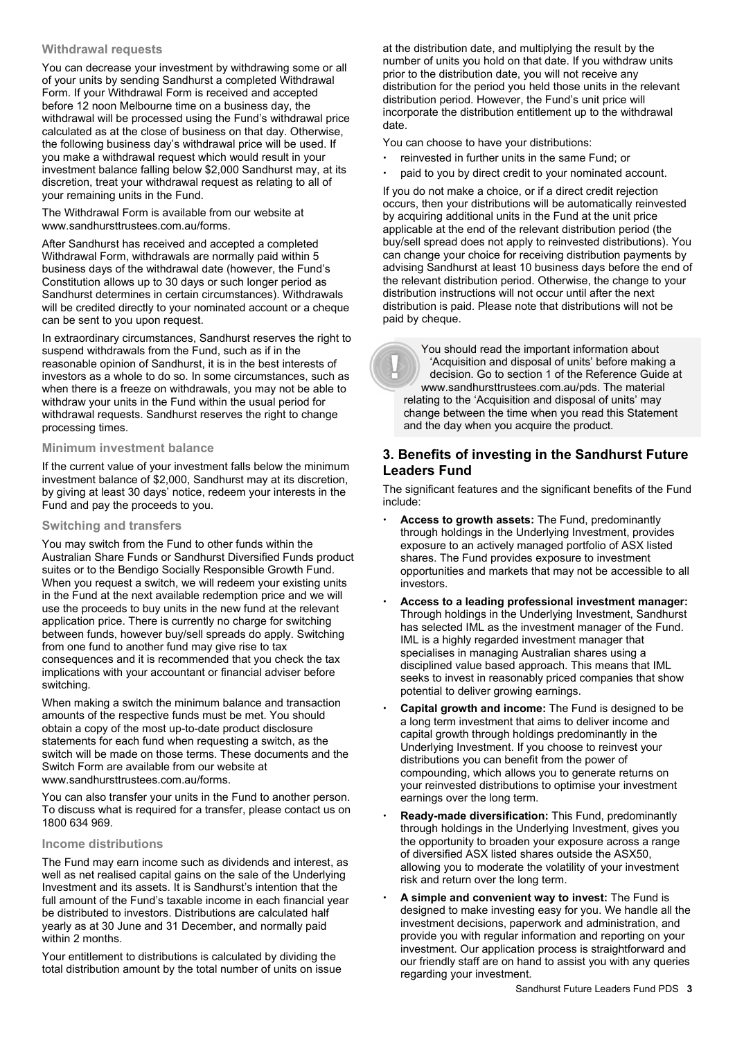#### **Withdrawal requests**

You can decrease your investment by withdrawing some or all of your units by sending Sandhurst a completed Withdrawal Form. If your Withdrawal Form is received and accepted before 12 noon Melbourne time on a business day, the withdrawal will be processed using the Fund's withdrawal price calculated as at the close of business on that day. Otherwise, the following business day's withdrawal price will be used. If you make a withdrawal request which would result in your investment balance falling below \$2,000 Sandhurst may, at its discretion, treat your withdrawal request as relating to all of your remaining units in the Fund.

The Withdrawal Form is available from our website at www.sandhursttrustees.com.au/forms.

After Sandhurst has received and accepted a completed Withdrawal Form, withdrawals are normally paid within 5 business days of the withdrawal date (however, the Fund's Constitution allows up to 30 days or such longer period as Sandhurst determines in certain circumstances). Withdrawals will be credited directly to your nominated account or a cheque can be sent to you upon request.

In extraordinary circumstances, Sandhurst reserves the right to suspend withdrawals from the Fund, such as if in the reasonable opinion of Sandhurst, it is in the best interests of investors as a whole to do so. In some circumstances, such as when there is a freeze on withdrawals, you may not be able to withdraw your units in the Fund within the usual period for withdrawal requests. Sandhurst reserves the right to change processing times.

#### **Minimum investment balance**

If the current value of your investment falls below the minimum investment balance of \$2,000, Sandhurst may at its discretion, by giving at least 30 days' notice, redeem your interests in the Fund and pay the proceeds to you.

#### **Switching and transfers**

You may switch from the Fund to other funds within the Australian Share Funds or Sandhurst Diversified Funds product suites or to the Bendigo Socially Responsible Growth Fund. When you request a switch, we will redeem your existing units in the Fund at the next available redemption price and we will use the proceeds to buy units in the new fund at the relevant application price. There is currently no charge for switching between funds, however buy/sell spreads do apply. Switching from one fund to another fund may give rise to tax consequences and it is recommended that you check the tax implications with your accountant or financial adviser before switching.

When making a switch the minimum balance and transaction amounts of the respective funds must be met. You should obtain a copy of the most up-to-date product disclosure statements for each fund when requesting a switch, as the switch will be made on those terms. These documents and the Switch Form are available from our website at www.sandhursttrustees.com.au/forms.

You can also transfer your units in the Fund to another person. To discuss what is required for a transfer, please contact us on 1800 634 969.

#### **Income distributions**

The Fund may earn income such as dividends and interest, as well as net realised capital gains on the sale of the Underlying Investment and its assets. It is Sandhurst's intention that the full amount of the Fund's taxable income in each financial year be distributed to investors. Distributions are calculated half yearly as at 30 June and 31 December, and normally paid within 2 months.

Your entitlement to distributions is calculated by dividing the total distribution amount by the total number of units on issue at the distribution date, and multiplying the result by the number of units you hold on that date. If you withdraw units prior to the distribution date, you will not receive any distribution for the period you held those units in the relevant distribution period. However, the Fund's unit price will incorporate the distribution entitlement up to the withdrawal date.

You can choose to have your distributions:

- reinvested in further units in the same Fund; or
- paid to you by direct credit to your nominated account.

If you do not make a choice, or if a direct credit rejection occurs, then your distributions will be automatically reinvested by acquiring additional units in the Fund at the unit price applicable at the end of the relevant distribution period (the buy/sell spread does not apply to reinvested distributions). You can change your choice for receiving distribution payments by advising Sandhurst at least 10 business days before the end of the relevant distribution period. Otherwise, the change to your distribution instructions will not occur until after the next distribution is paid. Please note that distributions will not be paid by cheque.

 You should read the important information about 'Acquisition and disposal of units' before making a decision. Go to section 1 of the Reference Guide at www.sandhursttrustees.com.au/pds. The material relating to the 'Acquisition and disposal of units' may change between the time when you read this Statement and the day when you acquire the product.

## **3. Benefits of investing in the Sandhurst Future Leaders Fund**

The significant features and the significant benefits of the Fund include:

- **Access to growth assets:** The Fund, predominantly through holdings in the Underlying Investment, provides exposure to an actively managed portfolio of ASX listed shares. The Fund provides exposure to investment opportunities and markets that may not be accessible to all investors.
- **Access to a leading professional investment manager:** Through holdings in the Underlying Investment, Sandhurst has selected IML as the investment manager of the Fund. IML is a highly regarded investment manager that specialises in managing Australian shares using a disciplined value based approach. This means that IML seeks to invest in reasonably priced companies that show potential to deliver growing earnings.
- **Capital growth and income:** The Fund is designed to be a long term investment that aims to deliver income and capital growth through holdings predominantly in the Underlying Investment. If you choose to reinvest your distributions you can benefit from the power of compounding, which allows you to generate returns on your reinvested distributions to optimise your investment earnings over the long term.
- **Ready-made diversification:** This Fund, predominantly through holdings in the Underlying Investment, gives you the opportunity to broaden your exposure across a range of diversified ASX listed shares outside the ASX50, allowing you to moderate the volatility of your investment risk and return over the long term.
- **A simple and convenient way to invest:** The Fund is designed to make investing easy for you. We handle all the investment decisions, paperwork and administration, and provide you with regular information and reporting on your investment. Our application process is straightforward and our friendly staff are on hand to assist you with any queries regarding your investment.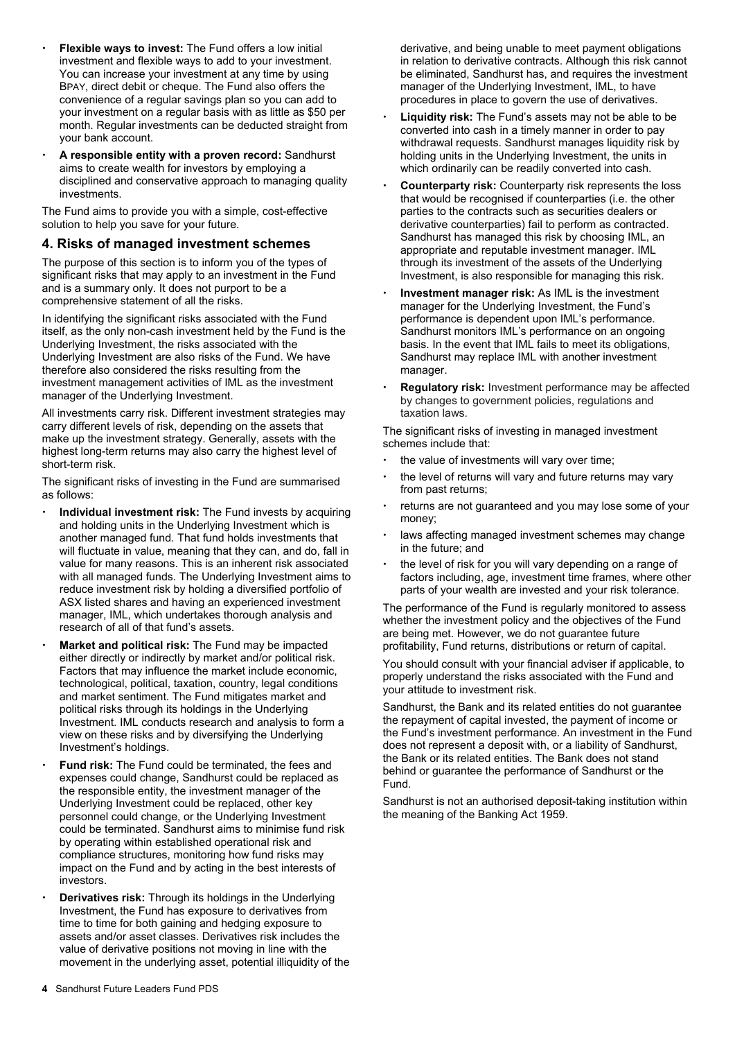- **Flexible ways to invest:** The Fund offers a low initial investment and flexible ways to add to your investment. You can increase your investment at any time by using BPAY, direct debit or cheque. The Fund also offers the convenience of a regular savings plan so you can add to your investment on a regular basis with as little as \$50 per month. Regular investments can be deducted straight from your bank account.
- **A responsible entity with a proven record:** Sandhurst aims to create wealth for investors by employing a disciplined and conservative approach to managing quality investments.

The Fund aims to provide you with a simple, cost-effective solution to help you save for your future.

#### **4. Risks of managed investment schemes**

The purpose of this section is to inform you of the types of significant risks that may apply to an investment in the Fund and is a summary only. It does not purport to be a comprehensive statement of all the risks.

In identifying the significant risks associated with the Fund itself, as the only non-cash investment held by the Fund is the Underlying Investment, the risks associated with the Underlying Investment are also risks of the Fund. We have therefore also considered the risks resulting from the investment management activities of IML as the investment manager of the Underlying Investment.

All investments carry risk. Different investment strategies may carry different levels of risk, depending on the assets that make up the investment strategy. Generally, assets with the highest long-term returns may also carry the highest level of short-term risk.

The significant risks of investing in the Fund are summarised as follows:

- **Individual investment risk:** The Fund invests by acquiring and holding units in the Underlying Investment which is another managed fund. That fund holds investments that will fluctuate in value, meaning that they can, and do, fall in value for many reasons. This is an inherent risk associated with all managed funds. The Underlying Investment aims to reduce investment risk by holding a diversified portfolio of ASX listed shares and having an experienced investment manager, IML, which undertakes thorough analysis and research of all of that fund's assets.
- **Market and political risk:** The Fund may be impacted either directly or indirectly by market and/or political risk. Factors that may influence the market include economic, technological, political, taxation, country, legal conditions and market sentiment. The Fund mitigates market and political risks through its holdings in the Underlying Investment. IML conducts research and analysis to form a view on these risks and by diversifying the Underlying Investment's holdings.
- **Fund risk:** The Fund could be terminated, the fees and expenses could change, Sandhurst could be replaced as the responsible entity, the investment manager of the Underlying Investment could be replaced, other key personnel could change, or the Underlying Investment could be terminated. Sandhurst aims to minimise fund risk by operating within established operational risk and compliance structures, monitoring how fund risks may impact on the Fund and by acting in the best interests of investors.
- **Derivatives risk:** Through its holdings in the Underlying Investment, the Fund has exposure to derivatives from time to time for both gaining and hedging exposure to assets and/or asset classes. Derivatives risk includes the value of derivative positions not moving in line with the movement in the underlying asset, potential illiquidity of the

derivative, and being unable to meet payment obligations in relation to derivative contracts. Although this risk cannot be eliminated, Sandhurst has, and requires the investment manager of the Underlying Investment, IML, to have procedures in place to govern the use of derivatives.

- **Liquidity risk:** The Fund's assets may not be able to be converted into cash in a timely manner in order to pay withdrawal requests. Sandhurst manages liquidity risk by holding units in the Underlying Investment, the units in which ordinarily can be readily converted into cash.
- **Counterparty risk:** Counterparty risk represents the loss that would be recognised if counterparties (i.e. the other parties to the contracts such as securities dealers or derivative counterparties) fail to perform as contracted. Sandhurst has managed this risk by choosing IML, an appropriate and reputable investment manager. IML through its investment of the assets of the Underlying Investment, is also responsible for managing this risk.
- **Investment manager risk:** As IML is the investment manager for the Underlying Investment, the Fund's performance is dependent upon IML's performance. Sandhurst monitors IML's performance on an ongoing basis. In the event that IML fails to meet its obligations, Sandhurst may replace IML with another investment manager.
- **Regulatory risk:** Investment performance may be affected by changes to government policies, regulations and taxation laws.

The significant risks of investing in managed investment schemes include that:

- the value of investments will vary over time;
- the level of returns will vary and future returns may vary from past returns;
- returns are not guaranteed and you may lose some of your money;
- laws affecting managed investment schemes may change in the future; and
- the level of risk for you will vary depending on a range of factors including, age, investment time frames, where other parts of your wealth are invested and your risk tolerance.

The performance of the Fund is regularly monitored to assess whether the investment policy and the objectives of the Fund are being met. However, we do not guarantee future profitability, Fund returns, distributions or return of capital.

You should consult with your financial adviser if applicable, to properly understand the risks associated with the Fund and your attitude to investment risk.

Sandhurst, the Bank and its related entities do not guarantee the repayment of capital invested, the payment of income or the Fund's investment performance. An investment in the Fund does not represent a deposit with, or a liability of Sandhurst, the Bank or its related entities. The Bank does not stand behind or guarantee the performance of Sandhurst or the Fund.

Sandhurst is not an authorised deposit-taking institution within the meaning of the Banking Act 1959.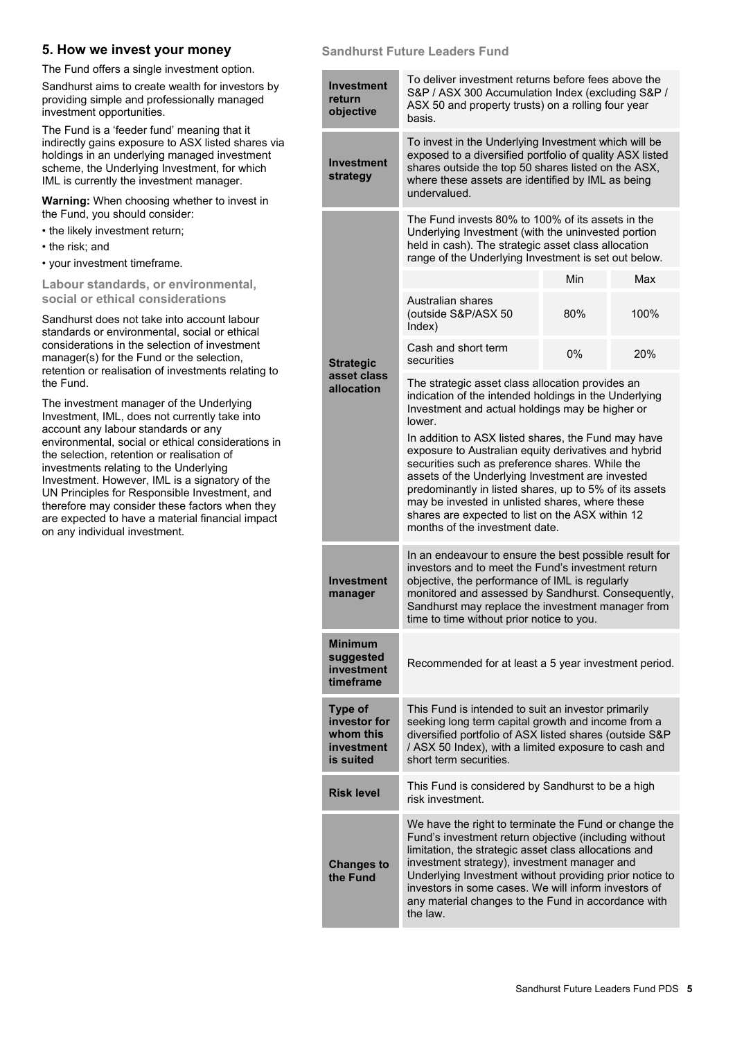## **5. How we invest your money**

The Fund offers a single investment option.

Sandhurst aims to create wealth for investors by providing simple and professionally managed investment opportunities.

The Fund is a 'feeder fund' meaning that it indirectly gains exposure to ASX listed shares via holdings in an underlying managed investment scheme, the Underlying Investment, for which IML is currently the investment manager.

**Warning:** When choosing whether to invest in the Fund, you should consider:

- the likely investment return;
- the risk; and
- your investment timeframe.

**Labour standards, or environmental, social or ethical considerations** 

Sandhurst does not take into account labour standards or environmental, social or ethical considerations in the selection of investment manager(s) for the Fund or the selection, retention or realisation of investments relating to the Fund.

The investment manager of the Underlying Investment, IML, does not currently take into account any labour standards or any environmental, social or ethical considerations in the selection, retention or realisation of investments relating to the Underlying Investment. However, IML is a signatory of the UN Principles for Responsible Investment, and therefore may consider these factors when they are expected to have a material financial impact on any individual investment.

#### **Sandhurst Future Leaders Fund**

| <b>Investment</b><br>return<br>objective                        | To deliver investment returns before fees above the<br>S&P / ASX 300 Accumulation Index (excluding S&P /<br>ASX 50 and property trusts) on a rolling four year<br>basis.                                                                                                                                                                                                                                              |     |      |  |
|-----------------------------------------------------------------|-----------------------------------------------------------------------------------------------------------------------------------------------------------------------------------------------------------------------------------------------------------------------------------------------------------------------------------------------------------------------------------------------------------------------|-----|------|--|
| <b>Investment</b><br>strategy                                   | To invest in the Underlying Investment which will be<br>exposed to a diversified portfolio of quality ASX listed<br>shares outside the top 50 shares listed on the ASX,<br>where these assets are identified by IML as being<br>undervalued.                                                                                                                                                                          |     |      |  |
|                                                                 | The Fund invests 80% to 100% of its assets in the<br>Underlying Investment (with the uninvested portion<br>held in cash). The strategic asset class allocation<br>range of the Underlying Investment is set out below.                                                                                                                                                                                                |     |      |  |
|                                                                 |                                                                                                                                                                                                                                                                                                                                                                                                                       | Min | Max  |  |
|                                                                 | Australian shares<br>(outside S&P/ASX 50<br>Index)                                                                                                                                                                                                                                                                                                                                                                    | 80% | 100% |  |
| <b>Strategic</b>                                                | Cash and short term<br>securities                                                                                                                                                                                                                                                                                                                                                                                     | 0%  | 20%  |  |
| asset class<br>allocation                                       | The strategic asset class allocation provides an<br>indication of the intended holdings in the Underlying<br>Investment and actual holdings may be higher or<br>lower.                                                                                                                                                                                                                                                |     |      |  |
|                                                                 | In addition to ASX listed shares, the Fund may have<br>exposure to Australian equity derivatives and hybrid<br>securities such as preference shares. While the<br>assets of the Underlying Investment are invested<br>predominantly in listed shares, up to 5% of its assets<br>may be invested in unlisted shares, where these<br>shares are expected to list on the ASX within 12<br>months of the investment date. |     |      |  |
| <b>Investment</b><br>manager                                    | In an endeavour to ensure the best possible result for<br>investors and to meet the Fund's investment return<br>objective, the performance of IML is regularly<br>monitored and assessed by Sandhurst. Consequently,<br>Sandhurst may replace the investment manager from<br>time to time without prior notice to you.                                                                                                |     |      |  |
| <b>Minimum</b><br>suggested<br>investment<br>timeframe          | Recommended for at least a 5 year investment period.                                                                                                                                                                                                                                                                                                                                                                  |     |      |  |
| Type of<br>investor for<br>whom this<br>investment<br>is suited | This Fund is intended to suit an investor primarily<br>seeking long term capital growth and income from a<br>diversified portfolio of ASX listed shares (outside S&P<br>/ ASX 50 Index), with a limited exposure to cash and<br>short term securities.                                                                                                                                                                |     |      |  |
| <b>Risk level</b>                                               | This Fund is considered by Sandhurst to be a high<br>risk investment.                                                                                                                                                                                                                                                                                                                                                 |     |      |  |
| <b>Changes to</b><br>the Fund                                   | We have the right to terminate the Fund or change the<br>Fund's investment return objective (including without<br>limitation, the strategic asset class allocations and<br>investment strategy), investment manager and<br>Underlying Investment without providing prior notice to<br>investors in some cases. We will inform investors of<br>any material changes to the Fund in accordance with<br>the law.         |     |      |  |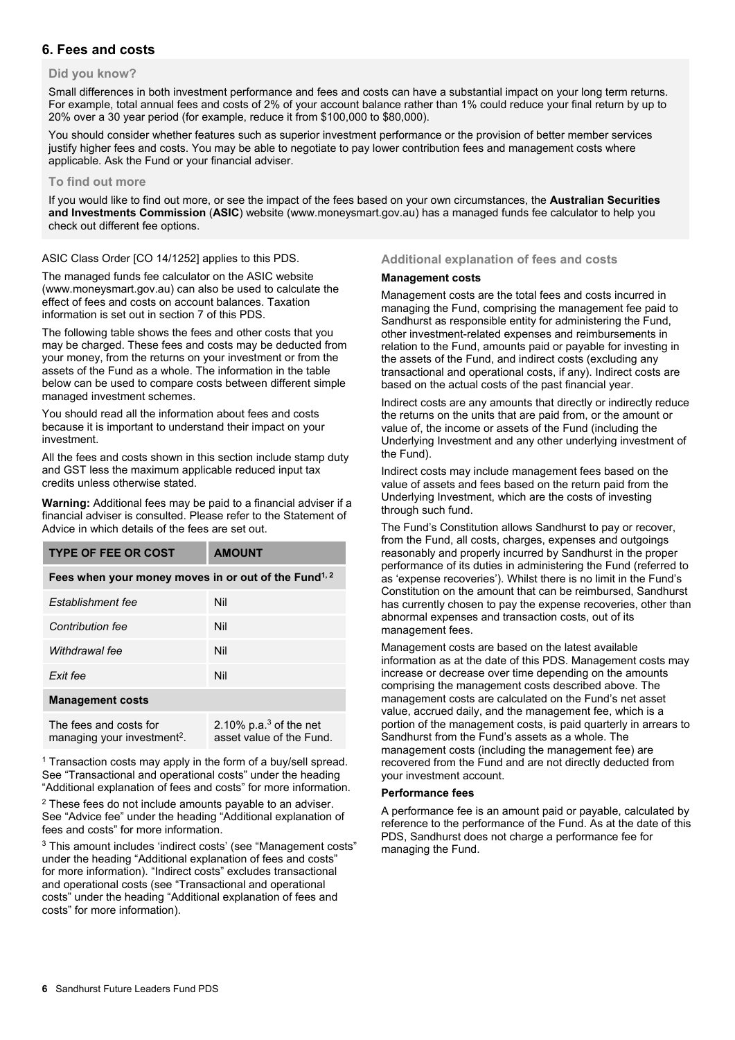## **6. Fees and costs**

#### **Did you know?**

Small differences in both investment performance and fees and costs can have a substantial impact on your long term returns. For example, total annual fees and costs of 2% of your account balance rather than 1% could reduce your final return by up to 20% over a 30 year period (for example, reduce it from \$100,000 to \$80,000).

You should consider whether features such as superior investment performance or the provision of better member services justify higher fees and costs. You may be able to negotiate to pay lower contribution fees and management costs where applicable. Ask the Fund or your financial adviser.

#### **To find out more**

If you would like to find out more, or see the impact of the fees based on your own circumstances, the **Australian Securities and Investments Commission** (**ASIC**) website (www.moneysmart.gov.au) has a managed funds fee calculator to help you check out different fee options.

ASIC Class Order [CO 14/1252] applies to this PDS.

The managed funds fee calculator on the ASIC website (www.moneysmart.gov.au) can also be used to calculate the effect of fees and costs on account balances. Taxation information is set out in section 7 of this PDS.

The following table shows the fees and other costs that you may be charged. These fees and costs may be deducted from your money, from the returns on your investment or from the assets of the Fund as a whole. The information in the table below can be used to compare costs between different simple managed investment schemes.

You should read all the information about fees and costs because it is important to understand their impact on your investment.

All the fees and costs shown in this section include stamp duty and GST less the maximum applicable reduced input tax credits unless otherwise stated.

**Warning:** Additional fees may be paid to a financial adviser if a financial adviser is consulted. Please refer to the Statement of Advice in which details of the fees are set out.

| <b>TYPE OF FEE OR COST</b>                                        | <b>AMOUNT</b>                                        |  |  |  |  |
|-------------------------------------------------------------------|------------------------------------------------------|--|--|--|--|
| Fees when your money moves in or out of the Fund <sup>1, 2</sup>  |                                                      |  |  |  |  |
| Establishment fee                                                 | Nil                                                  |  |  |  |  |
| <b>Contribution fee</b>                                           | Nil                                                  |  |  |  |  |
| Withdrawal fee                                                    | Nil                                                  |  |  |  |  |
| Exit fee                                                          | Nil                                                  |  |  |  |  |
| <b>Management costs</b>                                           |                                                      |  |  |  |  |
| The fees and costs for<br>managing your investment <sup>2</sup> . | 2.10% $p.a.3$ of the net<br>asset value of the Fund. |  |  |  |  |

<sup>1</sup> Transaction costs may apply in the form of a buy/sell spread. See "Transactional and operational costs" under the heading "Additional explanation of fees and costs" for more information.

<sup>2</sup> These fees do not include amounts payable to an adviser. See "Advice fee" under the heading "Additional explanation of fees and costs" for more information.

3 This amount includes 'indirect costs' (see "Management costs" under the heading "Additional explanation of fees and costs" for more information). "Indirect costs" excludes transactional and operational costs (see "Transactional and operational costs" under the heading "Additional explanation of fees and costs" for more information).

#### **Additional explanation of fees and costs**

#### **Management costs**

Management costs are the total fees and costs incurred in managing the Fund, comprising the management fee paid to Sandhurst as responsible entity for administering the Fund, other investment-related expenses and reimbursements in relation to the Fund, amounts paid or payable for investing in the assets of the Fund, and indirect costs (excluding any transactional and operational costs, if any). Indirect costs are based on the actual costs of the past financial year.

Indirect costs are any amounts that directly or indirectly reduce the returns on the units that are paid from, or the amount or value of, the income or assets of the Fund (including the Underlying Investment and any other underlying investment of the Fund).

Indirect costs may include management fees based on the value of assets and fees based on the return paid from the Underlying Investment, which are the costs of investing through such fund.

The Fund's Constitution allows Sandhurst to pay or recover, from the Fund, all costs, charges, expenses and outgoings reasonably and properly incurred by Sandhurst in the proper performance of its duties in administering the Fund (referred to as 'expense recoveries'). Whilst there is no limit in the Fund's Constitution on the amount that can be reimbursed, Sandhurst has currently chosen to pay the expense recoveries, other than abnormal expenses and transaction costs, out of its management fees.

Management costs are based on the latest available information as at the date of this PDS. Management costs may increase or decrease over time depending on the amounts comprising the management costs described above. The management costs are calculated on the Fund's net asset value, accrued daily, and the management fee, which is a portion of the management costs, is paid quarterly in arrears to Sandhurst from the Fund's assets as a whole. The management costs (including the management fee) are recovered from the Fund and are not directly deducted from your investment account.

#### **Performance fees**

A performance fee is an amount paid or payable, calculated by reference to the performance of the Fund. As at the date of this PDS, Sandhurst does not charge a performance fee for managing the Fund.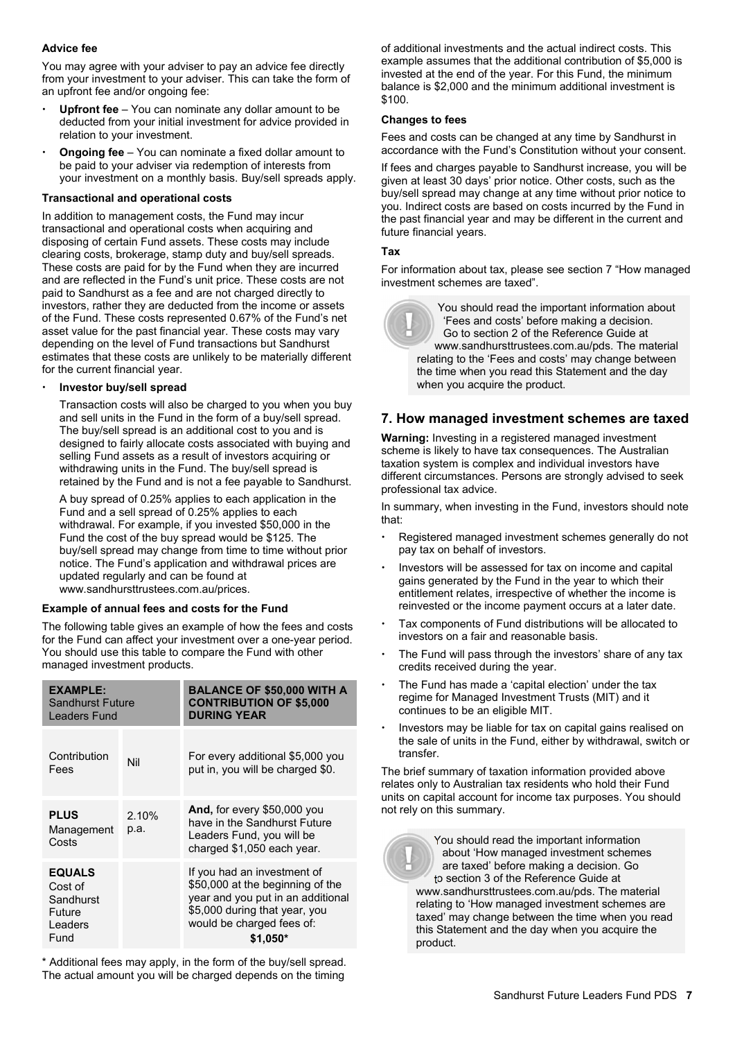#### **Advice fee**

You may agree with your adviser to pay an advice fee directly from your investment to your adviser. This can take the form of an upfront fee and/or ongoing fee:

- **Upfront fee** You can nominate any dollar amount to be deducted from your initial investment for advice provided in relation to your investment.
- **Ongoing fee** You can nominate a fixed dollar amount to be paid to your adviser via redemption of interests from your investment on a monthly basis. Buy/sell spreads apply.

#### **Transactional and operational costs**

In addition to management costs, the Fund may incur transactional and operational costs when acquiring and disposing of certain Fund assets. These costs may include clearing costs, brokerage, stamp duty and buy/sell spreads. These costs are paid for by the Fund when they are incurred and are reflected in the Fund's unit price. These costs are not paid to Sandhurst as a fee and are not charged directly to investors, rather they are deducted from the income or assets of the Fund. These costs represented 0.67% of the Fund's net asset value for the past financial year. These costs may vary depending on the level of Fund transactions but Sandhurst estimates that these costs are unlikely to be materially different for the current financial year.

#### **Investor buy/sell spread**

Transaction costs will also be charged to you when you buy and sell units in the Fund in the form of a buy/sell spread. The buy/sell spread is an additional cost to you and is designed to fairly allocate costs associated with buying and selling Fund assets as a result of investors acquiring or withdrawing units in the Fund. The buy/sell spread is retained by the Fund and is not a fee payable to Sandhurst.

A buy spread of 0.25% applies to each application in the Fund and a sell spread of 0.25% applies to each withdrawal. For example, if you invested \$50,000 in the Fund the cost of the buy spread would be \$125. The buy/sell spread may change from time to time without prior notice. The Fund's application and withdrawal prices are updated regularly and can be found at www.sandhursttrustees.com.au/prices.

#### **Example of annual fees and costs for the Fund**

The following table gives an example of how the fees and costs for the Fund can affect your investment over a one-year period. You should use this table to compare the Fund with other managed investment products.

| <b>EXAMPLE:</b><br><b>Sandhurst Future</b><br>Leaders Fund         |               | <b>BALANCE OF \$50,000 WITH A</b><br><b>CONTRIBUTION OF \$5,000</b><br><b>DURING YEAR</b>                                                                                       |
|--------------------------------------------------------------------|---------------|---------------------------------------------------------------------------------------------------------------------------------------------------------------------------------|
| Contribution<br>Fees                                               | Nil           | For every additional \$5,000 you<br>put in, you will be charged \$0.                                                                                                            |
| <b>PLUS</b><br>Management<br>Costs                                 | 2.10%<br>p.a. | And, for every \$50,000 you<br>have in the Sandhurst Future<br>Leaders Fund, you will be<br>charged \$1,050 each year.                                                          |
| <b>EQUALS</b><br>Cost of<br>Sandhurst<br>Future<br>Leaders<br>Fund |               | If you had an investment of<br>\$50,000 at the beginning of the<br>year and you put in an additional<br>\$5,000 during that year, you<br>would be charged fees of:<br>$$1.050*$ |

\* Additional fees may apply, in the form of the buy/sell spread. The actual amount you will be charged depends on the timing

of additional investments and the actual indirect costs. This example assumes that the additional contribution of \$5,000 is invested at the end of the year. For this Fund, the minimum balance is \$2,000 and the minimum additional investment is \$100.

#### **Changes to fees**

Fees and costs can be changed at any time by Sandhurst in accordance with the Fund's Constitution without your consent.

If fees and charges payable to Sandhurst increase, you will be given at least 30 days' prior notice. Other costs, such as the buy/sell spread may change at any time without prior notice to you. Indirect costs are based on costs incurred by the Fund in the past financial year and may be different in the current and future financial years.

#### **Tax**

For information about tax, please see section 7 "How managed investment schemes are taxed".

You should read the important information about 'Fees and costs' before making a decision. Go to section 2 of the Reference Guide at www.sandhursttrustees.com.au/pds. The material relating to the 'Fees and costs' may change between the time when you read this Statement and the day when you acquire the product.

## **7. How managed investment schemes are taxed**

**Warning:** Investing in a registered managed investment scheme is likely to have tax consequences. The Australian taxation system is complex and individual investors have different circumstances. Persons are strongly advised to seek professional tax advice.

In summary, when investing in the Fund, investors should note that:

- Registered managed investment schemes generally do not pay tax on behalf of investors.
- Investors will be assessed for tax on income and capital gains generated by the Fund in the year to which their entitlement relates, irrespective of whether the income is reinvested or the income payment occurs at a later date.
- Tax components of Fund distributions will be allocated to investors on a fair and reasonable basis.
- The Fund will pass through the investors' share of any tax credits received during the year.
- The Fund has made a 'capital election' under the tax regime for Managed Investment Trusts (MIT) and it continues to be an eligible MIT.
- Investors may be liable for tax on capital gains realised on the sale of units in the Fund, either by withdrawal, switch or transfer.

The brief summary of taxation information provided above relates only to Australian tax residents who hold their Fund units on capital account for income tax purposes. You should not rely on this summary.

You should read the important information about 'How managed investment schemes are taxed' before making a decision. Go to section 3 of the Reference Guide at www.sandhursttrustees.com.au/pds. The material relating to 'How managed investment schemes are taxed' may change between the time when you read this Statement and the day when you acquire the product.